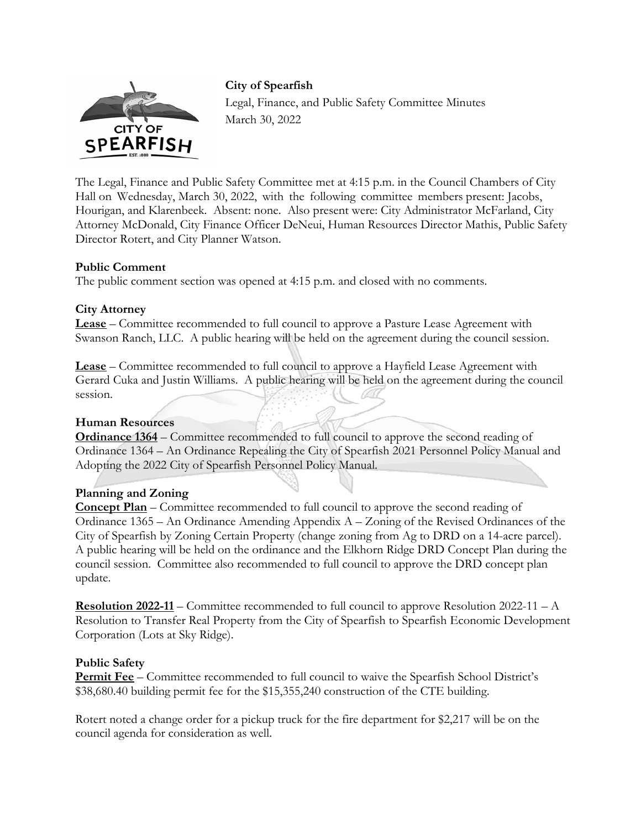

**City of Spearfish**  Legal, Finance, and Public Safety Committee Minutes March 30, 2022

The Legal, Finance and Public Safety Committee met at 4:15 p.m. in the Council Chambers of City Hall on Wednesday, March 30, 2022, with the following committee members present: Jacobs, Hourigan, and Klarenbeek. Absent: none. Also present were: City Administrator McFarland, City Attorney McDonald, City Finance Officer DeNeui, Human Resources Director Mathis, Public Safety Director Rotert, and City Planner Watson.

# **Public Comment**

The public comment section was opened at 4:15 p.m. and closed with no comments.

# **City Attorney**

**Lease** – Committee recommended to full council to approve a Pasture Lease Agreement with Swanson Ranch, LLC. A public hearing will be held on the agreement during the council session.

**Lease** – Committee recommended to full council to approve a Hayfield Lease Agreement with Gerard Cuka and Justin Williams. A public hearing will be held on the agreement during the council session.

### **Human Resources**

**Ordinance 1364** – Committee recommended to full council to approve the second reading of Ordinance 1364 – An Ordinance Repealing the City of Spearfish 2021 Personnel Policy Manual and Adopting the 2022 City of Spearfish Personnel Policy Manual.

# **Planning and Zoning**

**Concept Plan** – Committee recommended to full council to approve the second reading of Ordinance 1365 – An Ordinance Amending Appendix A – Zoning of the Revised Ordinances of the City of Spearfish by Zoning Certain Property (change zoning from Ag to DRD on a 14-acre parcel). A public hearing will be held on the ordinance and the Elkhorn Ridge DRD Concept Plan during the council session. Committee also recommended to full council to approve the DRD concept plan update.

**Resolution 2022-11** – Committee recommended to full council to approve Resolution 2022-11 – A Resolution to Transfer Real Property from the City of Spearfish to Spearfish Economic Development Corporation (Lots at Sky Ridge).

### **Public Safety**

**Permit Fee** – Committee recommended to full council to waive the Spearfish School District's \$38,680.40 building permit fee for the \$15,355,240 construction of the CTE building.

Rotert noted a change order for a pickup truck for the fire department for \$2,217 will be on the council agenda for consideration as well.